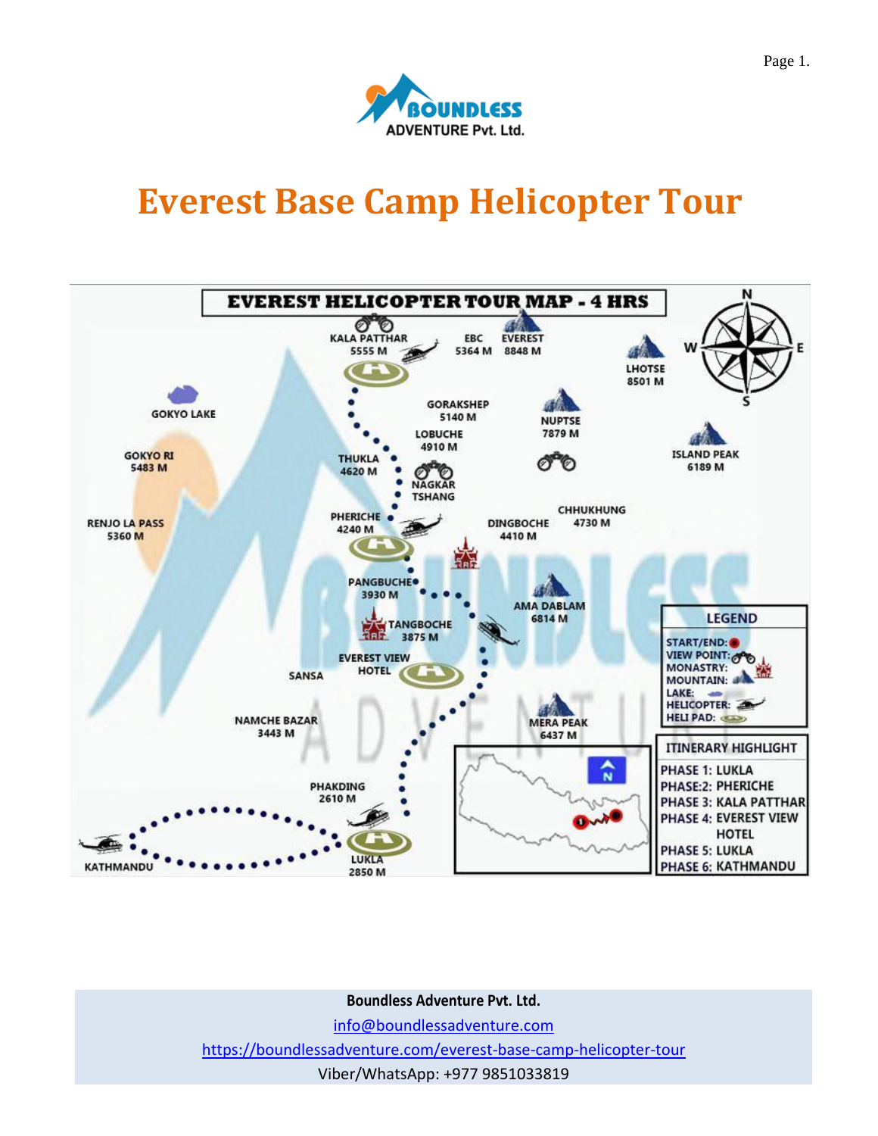

# **Everest Base Camp Helicopter Tour**



**Boundless Adventure Pvt. Ltd.**

[info@boundlessadventure.com](mailto:info@boundlessadventure.com)

<https://boundlessadventure.com/everest-base-camp-helicopter-tour>

Viber/WhatsApp: +977 9851033819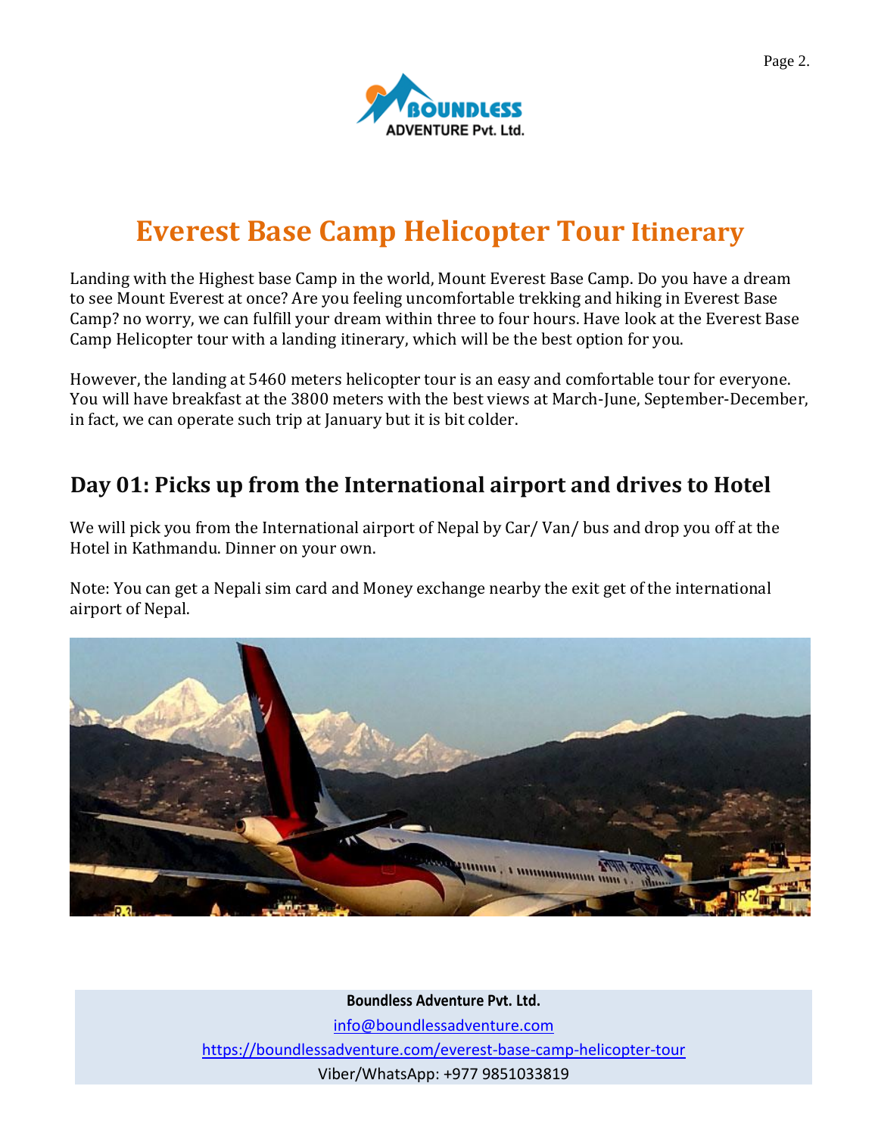

# **Everest Base Camp Helicopter Tour Itinerar[y](https://boundlessadventure.com/manaslu-trekking#itinerary01)**

[Landing with the Highest base Camp in the world, Mount Everest Base Camp. Do you have a dream](https://boundlessadventure.com/manaslu-trekking#itinerary01)  [to see Mount Everest at once? Are you feeling uncomfortable trekking and hiking in Everest Base](https://boundlessadventure.com/manaslu-trekking#itinerary01)  [Camp? no worry, we can fulfill your dream within three to four hours. Have look at the Everest Base](https://boundlessadventure.com/manaslu-trekking#itinerary01)  [Camp Helicopter tour with a landing itinerary, which will be the best option for you.](https://boundlessadventure.com/manaslu-trekking#itinerary01)

[However, the landing at 5460 meters helicopter tour is an easy and comfortable tour for everyone.](https://boundlessadventure.com/manaslu-trekking#itinerary01)  [You will have breakfast at the 3800 meters with the best views at March-June, September-December,](https://boundlessadventure.com/manaslu-trekking#itinerary01)  [in fact, we can operate such trip at January but it is bit colder.](https://boundlessadventure.com/manaslu-trekking#itinerary01)

### **[Day 01: Picks up from the International airport and drives to Hotel](https://boundlessadventure.com/gokyo-valley-trekking#itinerary01)**

We will pick you from the International airport of Nepal by Car/ Van/ bus and drop you off at the Hotel in Kathmandu. Dinner on your own.

Note: You can get a Nepali sim card and Money exchange nearby the exit get of the international airport of Nepal.



**Boundless Adventure Pvt. Ltd.** [info@boundlessadventure.com](mailto:info@boundlessadventure.com) <https://boundlessadventure.com/everest-base-camp-helicopter-tour>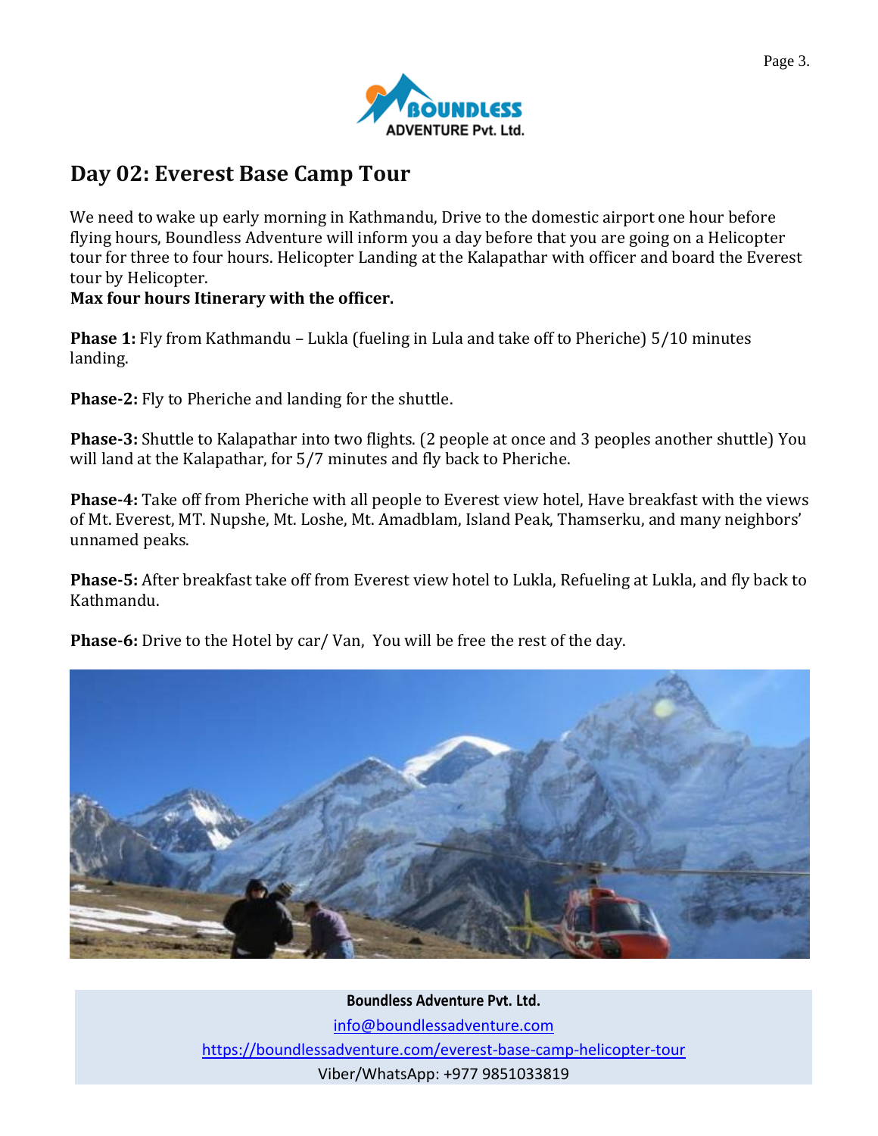

## **[Day 02: Everest Base Camp Tour](https://boundlessadventure.com/everest-base-camp-helicopter-tour#itinerary02)**

We need to wake up early morning in Kathmandu, Drive to the domestic airport one hour before flying hours, Boundless Adventure will inform you a day before that you are going on a Helicopter tour for three to four hours. Helicopter Landing at the Kalapathar with officer and board the Everest tour by Helicopter.

#### **Max four hours Itinerary with the officer.**

**Phase 1:** Fly from Kathmandu – Lukla (fueling in Lula and take off to Pheriche) 5/10 minutes landing.

**Phase-2:** Fly to Pheriche and landing for the shuttle.

**Phase-3:** Shuttle to Kalapathar into two flights. (2 people at once and 3 peoples another shuttle) You will land at the Kalapathar, for 5/7 minutes and fly back to Pheriche.

**Phase-4:** Take off from Pheriche with all people to Everest view hotel, Have breakfast with the views of Mt. Everest, MT. Nupshe, Mt. Loshe, Mt. Amadblam, Island Peak, Thamserku, and many neighbors' unnamed peaks.

**Phase-5:** After breakfast take off from Everest view hotel to Lukla, Refueling at Lukla, and fly back to Kathmandu.

**Phase-6:** Drive to the Hotel by car/ Van, You will be free the rest of the day.



**Boundless Adventure Pvt. Ltd.** [info@boundlessadventure.com](mailto:info@boundlessadventure.com) <https://boundlessadventure.com/everest-base-camp-helicopter-tour> Page 3.

Viber/WhatsApp: +977 9851033819